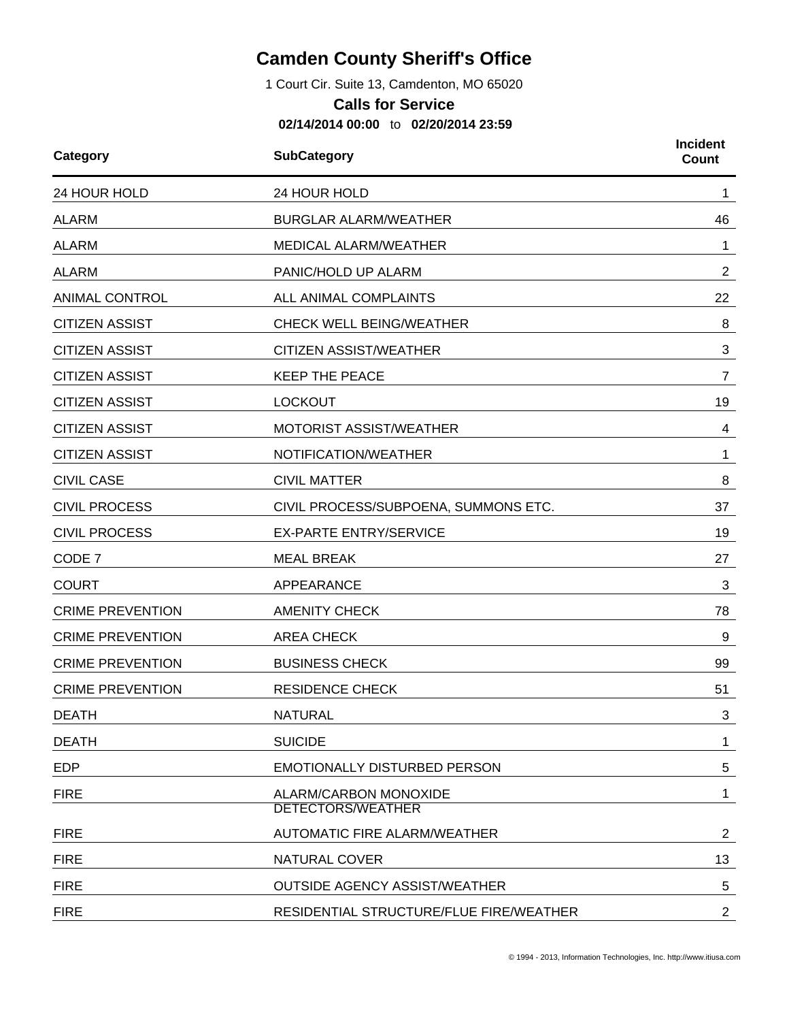## **Camden County Sheriff's Office**

1 Court Cir. Suite 13, Camdenton, MO 65020

## **Calls for Service**

**02/14/2014 00:00** to **02/20/2014 23:59**

| Category                | <b>SubCategory</b>                                | <b>Incident</b><br>Count |
|-------------------------|---------------------------------------------------|--------------------------|
| 24 HOUR HOLD            | 24 HOUR HOLD                                      |                          |
| <b>ALARM</b>            | <b>BURGLAR ALARM/WEATHER</b>                      | 46                       |
| <b>ALARM</b>            | MEDICAL ALARM/WEATHER                             | 1                        |
| <b>ALARM</b>            | PANIC/HOLD UP ALARM                               | $\overline{2}$           |
| <b>ANIMAL CONTROL</b>   | ALL ANIMAL COMPLAINTS                             | 22                       |
| <b>CITIZEN ASSIST</b>   | <b>CHECK WELL BEING/WEATHER</b>                   | 8                        |
| <b>CITIZEN ASSIST</b>   | <b>CITIZEN ASSIST/WEATHER</b>                     | 3                        |
| <b>CITIZEN ASSIST</b>   | <b>KEEP THE PEACE</b>                             | 7                        |
| <b>CITIZEN ASSIST</b>   | <b>LOCKOUT</b>                                    | 19                       |
| <b>CITIZEN ASSIST</b>   | <b>MOTORIST ASSIST/WEATHER</b>                    | 4                        |
| <b>CITIZEN ASSIST</b>   | NOTIFICATION/WEATHER                              | 1                        |
| <b>CIVIL CASE</b>       | <b>CIVIL MATTER</b>                               | 8                        |
| <b>CIVIL PROCESS</b>    | CIVIL PROCESS/SUBPOENA, SUMMONS ETC.              | 37                       |
| <b>CIVIL PROCESS</b>    | <b>EX-PARTE ENTRY/SERVICE</b>                     | 19                       |
| CODE 7                  | <b>MEAL BREAK</b>                                 | 27                       |
| <b>COURT</b>            | APPEARANCE                                        | 3                        |
| <b>CRIME PREVENTION</b> | <b>AMENITY CHECK</b>                              | 78                       |
| <b>CRIME PREVENTION</b> | <b>AREA CHECK</b>                                 | 9                        |
| <b>CRIME PREVENTION</b> | <b>BUSINESS CHECK</b>                             | 99                       |
| <b>CRIME PREVENTION</b> | <b>RESIDENCE CHECK</b>                            | 51                       |
| <b>DEATH</b>            | <b>NATURAL</b>                                    | 3                        |
| <b>DEATH</b>            | <b>SUICIDE</b>                                    | $\mathbf 1$              |
| <b>EDP</b>              | <b>EMOTIONALLY DISTURBED PERSON</b>               | 5                        |
| <b>FIRE</b>             | ALARM/CARBON MONOXIDE<br><b>DETECTORS/WEATHER</b> | $\mathbf 1$              |
| <b>FIRE</b>             | <b>AUTOMATIC FIRE ALARM/WEATHER</b>               | $\overline{2}$           |
| <b>FIRE</b>             | NATURAL COVER                                     | 13                       |
| <b>FIRE</b>             | <b>OUTSIDE AGENCY ASSIST/WEATHER</b>              | 5                        |
| <b>FIRE</b>             | RESIDENTIAL STRUCTURE/FLUE FIRE/WEATHER           | $\overline{c}$           |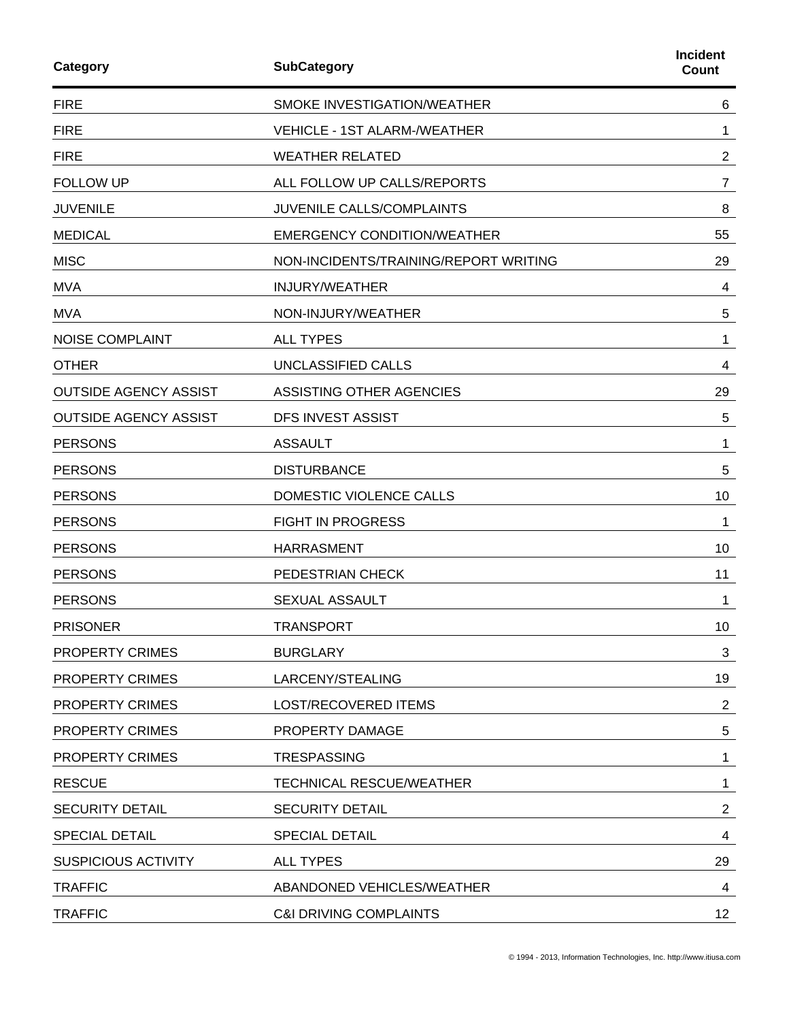| Category                     | <b>SubCategory</b>                    | <b>Incident</b><br><b>Count</b> |
|------------------------------|---------------------------------------|---------------------------------|
| <b>FIRE</b>                  | SMOKE INVESTIGATION/WEATHER           | 6                               |
| <b>FIRE</b>                  | <b>VEHICLE - 1ST ALARM-/WEATHER</b>   | 1                               |
| <b>FIRE</b>                  | <b>WEATHER RELATED</b>                | $\overline{2}$                  |
| <b>FOLLOW UP</b>             | ALL FOLLOW UP CALLS/REPORTS           | $\overline{7}$                  |
| <b>JUVENILE</b>              | JUVENILE CALLS/COMPLAINTS             | 8                               |
| <b>MEDICAL</b>               | <b>EMERGENCY CONDITION/WEATHER</b>    | 55                              |
| <b>MISC</b>                  | NON-INCIDENTS/TRAINING/REPORT WRITING | 29                              |
| <b>MVA</b>                   | <b>INJURY/WEATHER</b>                 | 4                               |
| <b>MVA</b>                   | NON-INJURY/WEATHER                    | 5                               |
| <b>NOISE COMPLAINT</b>       | <b>ALL TYPES</b>                      | 1                               |
| <b>OTHER</b>                 | UNCLASSIFIED CALLS                    | 4                               |
| <b>OUTSIDE AGENCY ASSIST</b> | ASSISTING OTHER AGENCIES              | 29                              |
| <b>OUTSIDE AGENCY ASSIST</b> | DFS INVEST ASSIST                     | 5                               |
| <b>PERSONS</b>               | <b>ASSAULT</b>                        | 1                               |
| <b>PERSONS</b>               | <b>DISTURBANCE</b>                    | 5                               |
| <b>PERSONS</b>               | DOMESTIC VIOLENCE CALLS               | 10                              |
| <b>PERSONS</b>               | <b>FIGHT IN PROGRESS</b>              | 1                               |
| <b>PERSONS</b>               | <b>HARRASMENT</b>                     | 10                              |
| <b>PERSONS</b>               | PEDESTRIAN CHECK                      | 11                              |
| <b>PERSONS</b>               | <b>SEXUAL ASSAULT</b>                 | 1                               |
| <b>PRISONER</b>              | <b>TRANSPORT</b>                      | 10                              |
| <b>PROPERTY CRIMES</b>       | <b>BURGLARY</b>                       | 3                               |
| <b>PROPERTY CRIMES</b>       | LARCENY/STEALING                      | 19                              |
| <b>PROPERTY CRIMES</b>       | LOST/RECOVERED ITEMS                  | $\overline{2}$                  |
| <b>PROPERTY CRIMES</b>       | PROPERTY DAMAGE                       | 5                               |
| <b>PROPERTY CRIMES</b>       | <b>TRESPASSING</b>                    | 1                               |
| <b>RESCUE</b>                | <b>TECHNICAL RESCUE/WEATHER</b>       | 1                               |
| <b>SECURITY DETAIL</b>       | <b>SECURITY DETAIL</b>                | $\overline{2}$                  |
| <b>SPECIAL DETAIL</b>        | <b>SPECIAL DETAIL</b>                 | 4                               |
| <b>SUSPICIOUS ACTIVITY</b>   | <b>ALL TYPES</b>                      | 29                              |
| <b>TRAFFIC</b>               | ABANDONED VEHICLES/WEATHER            | 4                               |
| <b>TRAFFIC</b>               | <b>C&amp;I DRIVING COMPLAINTS</b>     | 12 <sub>2</sub>                 |
|                              |                                       |                                 |